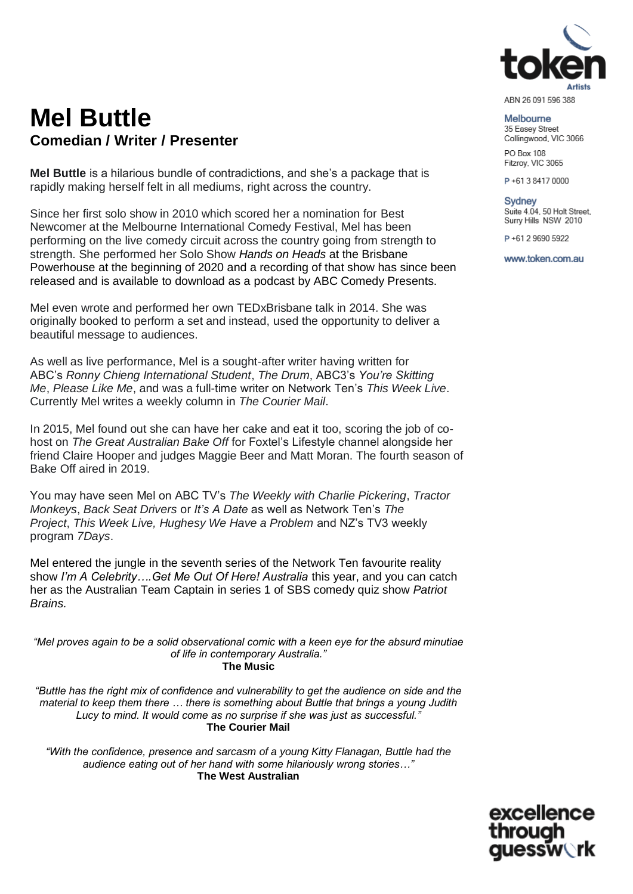

# **Mel Buttle Comedian / Writer / Presenter**

**Mel Buttle** is a hilarious bundle of contradictions, and she's a package that is rapidly making herself felt in all mediums, right across the country.

Since her first solo show in 2010 which scored her a nomination for Best Newcomer at the Melbourne International Comedy Festival, Mel has been performing on the live comedy circuit across the country going from strength to strength. She performed her Solo Show *Hands on Heads* at the Brisbane Powerhouse at the beginning of 2020 and a recording of that show has since been released and is available to download as a podcast by ABC Comedy Presents.

Mel even wrote and performed her own TEDxBrisbane talk in 2014. She was originally booked to perform a set and instead, used the opportunity to deliver a beautiful message to audiences.

As well as live performance, Mel is a sought-after writer having written for ABC's *Ronny Chieng International Student*, *The Drum*, ABC3's *You're Skitting Me*, *Please Like Me*, and was a full-time writer on Network Ten's *This Week Live*. Currently Mel writes a weekly column in *The Courier Mail*.

In 2015, Mel found out she can have her cake and eat it too, scoring the job of cohost on *The Great Australian Bake Off* for Foxtel's Lifestyle channel alongside her friend Claire Hooper and judges Maggie Beer and Matt Moran. The fourth season of Bake Off aired in 2019.

You may have seen Mel on ABC TV's *The Weekly with Charlie Pickering*, *Tractor Monkeys*, *Back Seat Drivers* or *It's A Date* as well as Network Ten's *The Project*, *This Week Live, Hughesy We Have a Problem* and NZ's TV3 weekly program *7Days*.

Mel entered the jungle in the seventh series of the Network Ten favourite reality show *I'm A Celebrity….Get Me Out Of Here! Australia* this year, and you can catch her as the Australian Team Captain in series 1 of SBS comedy quiz show *Patriot Brains.*

*"Mel proves again to be a solid observational comic with a keen eye for the absurd minutiae of life in contemporary Australia."*  **The Music**

*"Buttle has the right mix of confidence and vulnerability to get the audience on side and the material to keep them there … there is something about Buttle that brings a young Judith Lucy to mind. It would come as no surprise if she was just as successful."*  **The Courier Mail**

*"With the confidence, presence and sarcasm of a young Kitty Flanagan, Buttle had the audience eating out of her hand with some hilariously wrong stories…"*  **The West Australian**

Melhourne

35 Easev Street Collingwood, VIC 3066 PO Box 108

Fitzrov, VIC 3065

P+61384170000

Svdnev

Suite 4.04, 50 Holt Street, Surry Hills NSW 2010

P+61 2 9690 5922

www.token.com.au

excellence through auessw∩rk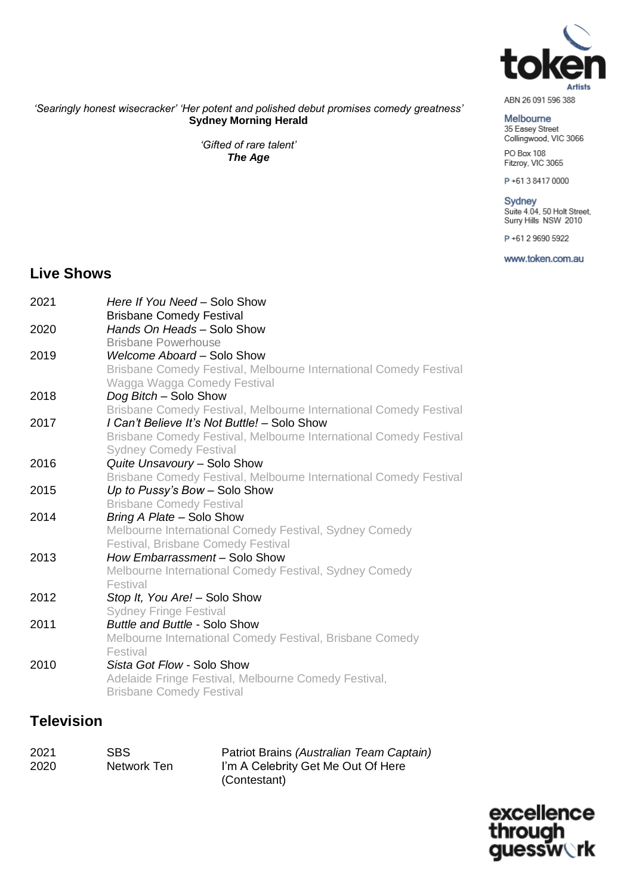

ABN 26 091 596 388

#### Melbourne

35 Easey Street<br>Collingwood, VIC 3066 PO Box 108

Fitzroy, VIC 3065

P+61384170000

#### Sydney

Suite 4.04, 50 Holt Street,<br>Surry Hills NSW 2010

P+61 2 9690 5922

#### www.token.com.au

## **Live Shows**

| 2021 | Here If You Need – Solo Show<br><b>Brisbane Comedy Festival</b>                                    |
|------|----------------------------------------------------------------------------------------------------|
| 2020 | Hands On Heads - Solo Show<br><b>Brisbane Powerhouse</b>                                           |
| 2019 | Welcome Aboard – Solo Show<br>Brisbane Comedy Festival, Melbourne International Comedy Festival    |
|      | Wagga Wagga Comedy Festival                                                                        |
| 2018 | Dog Bitch - Solo Show<br>Brisbane Comedy Festival, Melbourne International Comedy Festival         |
| 2017 | I Can't Believe It's Not Buttle! - Solo Show                                                       |
|      | Brisbane Comedy Festival, Melbourne International Comedy Festival<br><b>Sydney Comedy Festival</b> |
| 2016 | Quite Unsavoury - Solo Show                                                                        |
|      | Brisbane Comedy Festival, Melbourne International Comedy Festival                                  |
| 2015 | Up to Pussy's Bow - Solo Show                                                                      |
|      | <b>Brisbane Comedy Festival</b>                                                                    |
| 2014 | Bring A Plate - Solo Show                                                                          |
|      | Melbourne International Comedy Festival, Sydney Comedy                                             |
|      | <b>Festival, Brisbane Comedy Festival</b>                                                          |
| 2013 | How Embarrassment - Solo Show<br>Melbourne International Comedy Festival, Sydney Comedy            |
|      | Festival                                                                                           |
| 2012 | Stop It, You Are! - Solo Show                                                                      |
|      | <b>Sydney Fringe Festival</b>                                                                      |
| 2011 | Buttle and Buttle - Solo Show                                                                      |
|      | Melbourne International Comedy Festival, Brisbane Comedy                                           |
|      | Festival                                                                                           |
| 2010 | Sista Got Flow - Solo Show                                                                         |
|      | Adelaide Fringe Festival, Melbourne Comedy Festival,                                               |
|      | <b>Brisbane Comedy Festival</b>                                                                    |
|      |                                                                                                    |

'Searingly honest wisecracker' 'Her potent and polished debut promises comedy greatness' **Sydney Morning Herald** 

'Gifted of rare talent'

**The Age** 

## **Television**

| 2021 | SBS.        | Patriot Brains (Australian Team Captain) |
|------|-------------|------------------------------------------|
| 2020 | Network Ten | I'm A Celebrity Get Me Out Of Here       |
|      |             | (Contestant)                             |

excellence<br>through<br>guessw**ork**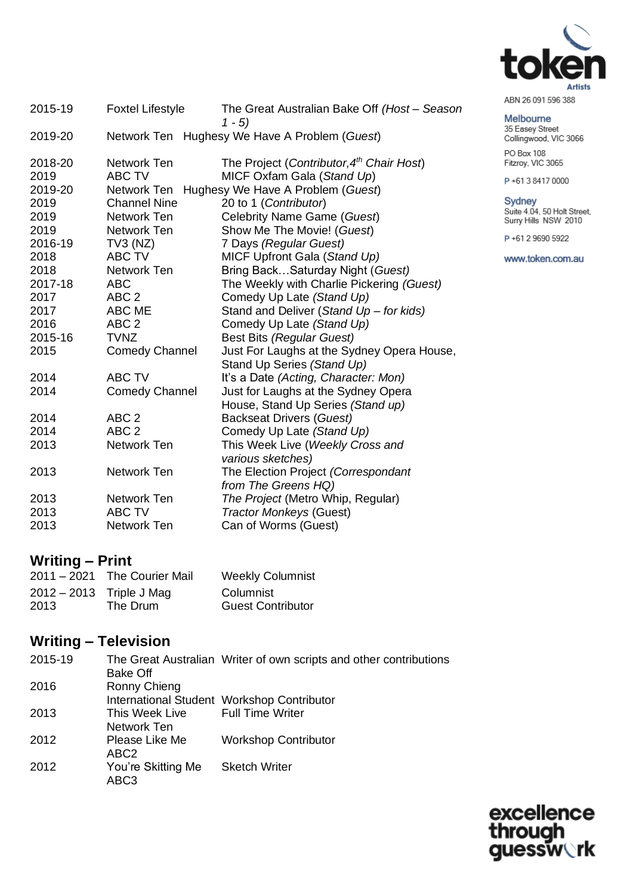

Melbourne

PO Box 108<br>Fitzroy, VIC 3065

P+61384170000

P+61 2 9690 5922

www.token.com.au

Suite 4.04, 50 Holt Street,<br>Surry Hills NSW 2010

Sydney

35 Easey Street<br>Collingwood, VIC 3066

| 2015-19 | <b>Foxtel Lifestyle</b> | The Great Australian Bake Off (Host - Season<br>$1 - 5$                     |
|---------|-------------------------|-----------------------------------------------------------------------------|
| 2019-20 |                         | Network Ten Hughesy We Have A Problem (Guest)                               |
| 2018-20 | Network Ten             | The Project (Contributor, 4 <sup>th</sup> Chair Host)                       |
| 2019    | <b>ABC TV</b>           | MICF Oxfam Gala (Stand Up)                                                  |
| 2019-20 |                         | Network Ten Hughesy We Have A Problem (Guest)                               |
| 2019    | <b>Channel Nine</b>     | 20 to 1 (Contributor)                                                       |
| 2019    | Network Ten             | Celebrity Name Game (Guest)                                                 |
| 2019    | Network Ten             | Show Me The Movie! (Guest)                                                  |
| 2016-19 | $TV3$ (NZ)              | 7 Days (Regular Guest)                                                      |
| 2018    | ABC TV                  | MICF Upfront Gala (Stand Up)                                                |
| 2018    | Network Ten             | Bring BackSaturday Night (Guest)                                            |
| 2017-18 | <b>ABC</b>              | The Weekly with Charlie Pickering (Guest)                                   |
| 2017    | ABC <sub>2</sub>        | Comedy Up Late (Stand Up)                                                   |
| 2017    | ABC ME                  | Stand and Deliver (Stand Up - for kids)                                     |
| 2016    | ABC <sub>2</sub>        | Comedy Up Late (Stand Up)                                                   |
| 2015-16 | <b>TVNZ</b>             | <b>Best Bits (Regular Guest)</b>                                            |
| 2015    | <b>Comedy Channel</b>   | Just For Laughs at the Sydney Opera House,                                  |
| 2014    | <b>ABC TV</b>           | Stand Up Series (Stand Up)                                                  |
| 2014    | <b>Comedy Channel</b>   | It's a Date (Acting, Character: Mon)<br>Just for Laughs at the Sydney Opera |
|         |                         | House, Stand Up Series (Stand up)                                           |
| 2014    | ABC <sub>2</sub>        | <b>Backseat Drivers (Guest)</b>                                             |
| 2014    | ABC <sub>2</sub>        | Comedy Up Late (Stand Up)                                                   |
| 2013    | Network Ten             | This Week Live (Weekly Cross and                                            |
|         |                         | various sketches)                                                           |
| 2013    | <b>Network Ten</b>      | The Election Project (Correspondant                                         |
|         |                         | from The Greens HQ)                                                         |
| 2013    | Network Ten             | The Project (Metro Whip, Regular)                                           |
| 2013    | <b>ABC TV</b>           | <b>Tractor Monkeys (Guest)</b>                                              |
| 2013    | <b>Network Ten</b>      | Can of Worms (Guest)                                                        |
|         |                         |                                                                             |

## **Writing – Print**

|                            | 2011 - 2021 The Courier Mail | <b>Weekly Columnist</b>  |
|----------------------------|------------------------------|--------------------------|
| $2012 - 2013$ Triple J Mag |                              | Columnist                |
| 2013                       | The Drum                     | <b>Guest Contributor</b> |

## **Writing – Television**

| 2015-19 | <b>Bake Off</b>                        | The Great Australian Writer of own scripts and other contributions |
|---------|----------------------------------------|--------------------------------------------------------------------|
| 2016    | Ronny Chieng                           |                                                                    |
|         |                                        | International Student Workshop Contributor                         |
| 2013    | This Week Live                         | <b>Full Time Writer</b>                                            |
|         | Network Ten                            |                                                                    |
| 2012    | Please Like Me<br>ABC <sub>2</sub>     | <b>Workshop Contributor</b>                                        |
| 2012    | You're Skitting Me<br>ABC <sub>3</sub> | <b>Sketch Writer</b>                                               |

excellence<br>through<br>guessw**ork**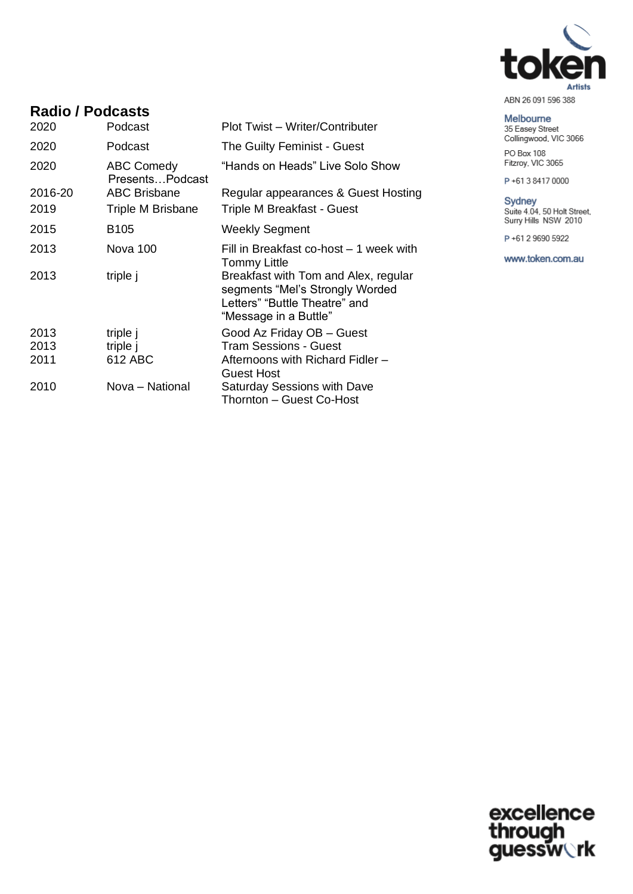

### **Radio / Podcasts**

| 2020    | Podcast                              | Plot Twist - Writer/Contributer                                                                                                   |
|---------|--------------------------------------|-----------------------------------------------------------------------------------------------------------------------------------|
| 2020    | Podcast                              | The Guilty Feminist - Guest                                                                                                       |
| 2020    | <b>ABC Comedy</b><br>PresentsPodcast | "Hands on Heads" Live Solo Show                                                                                                   |
| 2016-20 | <b>ABC Brisbane</b>                  | Regular appearances & Guest Hosting                                                                                               |
| 2019    | Triple M Brisbane                    | Triple M Breakfast - Guest                                                                                                        |
| 2015    | B <sub>105</sub>                     | <b>Weekly Segment</b>                                                                                                             |
| 2013    | Nova 100                             | Fill in Breakfast co-host – 1 week with<br><b>Tommy Little</b>                                                                    |
| 2013    | triple j                             | Breakfast with Tom and Alex, regular<br>segments "Mel's Strongly Worded<br>Letters" "Buttle Theatre" and<br>"Message in a Buttle" |
| 2013    | triple j                             | Good Az Friday OB - Guest                                                                                                         |
| 2013    | triple j                             | <b>Tram Sessions - Guest</b>                                                                                                      |
| 2011    | 612 ABC                              | Afternoons with Richard Fidler -<br><b>Guest Host</b>                                                                             |
| 2010    | Nova - National                      | <b>Saturday Sessions with Dave</b><br>Thornton - Guest Co-Host                                                                    |

Melbourne 35 Easey Street<br>Collingwood, VIC 3066

PO Box 108<br>Fitzroy, VIC 3065

P+61384170000

Sydney Suite 4.04, 50 Holt Street,<br>Surry Hills NSW 2010

P+61 2 9690 5922

www.token.com.au

excellence<br>through<br>guessw**ork**